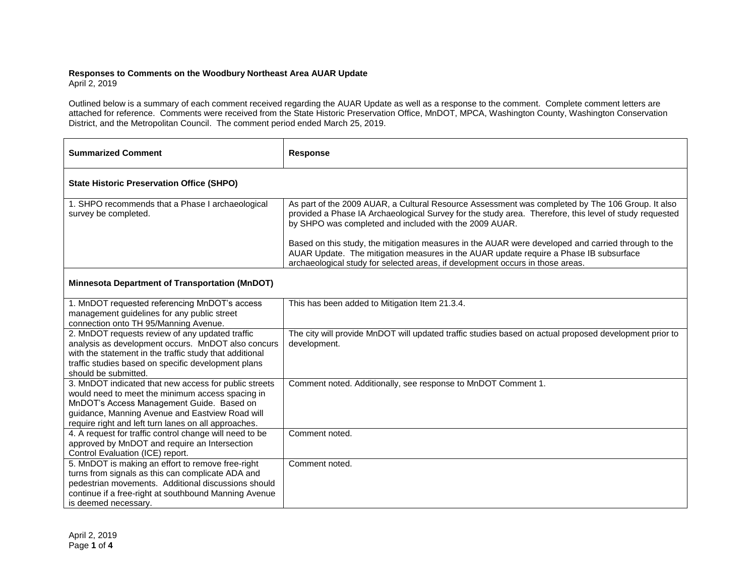## **Responses to Comments on the Woodbury Northeast Area AUAR Update**

April 2, 2019

Outlined below is a summary of each comment received regarding the AUAR Update as well as a response to the comment. Complete comment letters are attached for reference. Comments were received from the State Historic Preservation Office, MnDOT, MPCA, Washington County, Washington Conservation District, and the Metropolitan Council. The comment period ended March 25, 2019.

| <b>Summarized Comment</b>                                                                                                                                                                                                                                         | <b>Response</b>                                                                                                                                                                                                                                                               |  |
|-------------------------------------------------------------------------------------------------------------------------------------------------------------------------------------------------------------------------------------------------------------------|-------------------------------------------------------------------------------------------------------------------------------------------------------------------------------------------------------------------------------------------------------------------------------|--|
| <b>State Historic Preservation Office (SHPO)</b>                                                                                                                                                                                                                  |                                                                                                                                                                                                                                                                               |  |
| 1. SHPO recommends that a Phase I archaeological<br>survey be completed.                                                                                                                                                                                          | As part of the 2009 AUAR, a Cultural Resource Assessment was completed by The 106 Group. It also<br>provided a Phase IA Archaeological Survey for the study area. Therefore, this level of study requested<br>by SHPO was completed and included with the 2009 AUAR.          |  |
|                                                                                                                                                                                                                                                                   | Based on this study, the mitigation measures in the AUAR were developed and carried through to the<br>AUAR Update. The mitigation measures in the AUAR update require a Phase IB subsurface<br>archaeological study for selected areas, if development occurs in those areas. |  |
| <b>Minnesota Department of Transportation (MnDOT)</b>                                                                                                                                                                                                             |                                                                                                                                                                                                                                                                               |  |
| 1. MnDOT requested referencing MnDOT's access<br>management guidelines for any public street<br>connection onto TH 95/Manning Avenue.                                                                                                                             | This has been added to Mitigation Item 21.3.4.                                                                                                                                                                                                                                |  |
| 2. MnDOT requests review of any updated traffic<br>analysis as development occurs. MnDOT also concurs<br>with the statement in the traffic study that additional<br>traffic studies based on specific development plans<br>should be submitted.                   | The city will provide MnDOT will updated traffic studies based on actual proposed development prior to<br>development.                                                                                                                                                        |  |
| 3. MnDOT indicated that new access for public streets<br>would need to meet the minimum access spacing in<br>MnDOT's Access Management Guide. Based on<br>guidance, Manning Avenue and Eastview Road will<br>require right and left turn lanes on all approaches. | Comment noted. Additionally, see response to MnDOT Comment 1.                                                                                                                                                                                                                 |  |
| 4. A request for traffic control change will need to be<br>approved by MnDOT and require an Intersection<br>Control Evaluation (ICE) report.                                                                                                                      | Comment noted.                                                                                                                                                                                                                                                                |  |
| 5. MnDOT is making an effort to remove free-right<br>turns from signals as this can complicate ADA and<br>pedestrian movements. Additional discussions should<br>continue if a free-right at southbound Manning Avenue<br>is deemed necessary.                    | Comment noted.                                                                                                                                                                                                                                                                |  |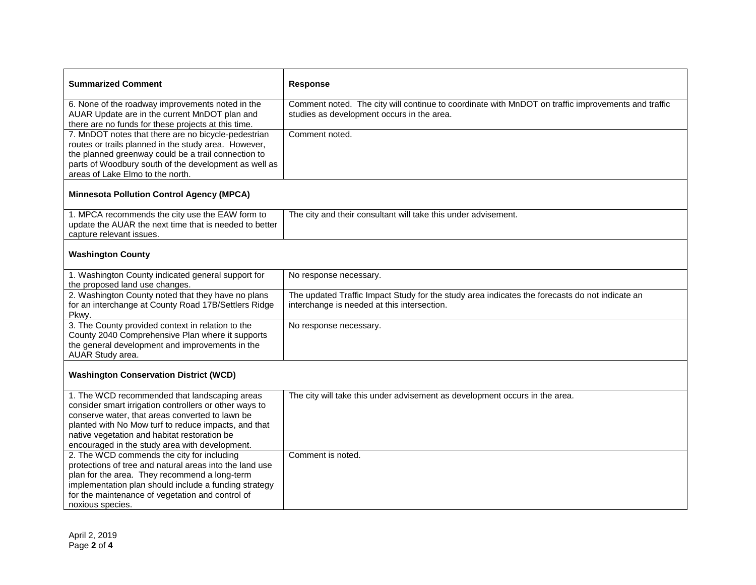| <b>Summarized Comment</b>                                                                                                                                                                                                                                                                                            | Response                                                                                                                                         |
|----------------------------------------------------------------------------------------------------------------------------------------------------------------------------------------------------------------------------------------------------------------------------------------------------------------------|--------------------------------------------------------------------------------------------------------------------------------------------------|
| 6. None of the roadway improvements noted in the<br>AUAR Update are in the current MnDOT plan and<br>there are no funds for these projects at this time.                                                                                                                                                             | Comment noted. The city will continue to coordinate with MnDOT on traffic improvements and traffic<br>studies as development occurs in the area. |
| 7. MnDOT notes that there are no bicycle-pedestrian<br>routes or trails planned in the study area. However,<br>the planned greenway could be a trail connection to<br>parts of Woodbury south of the development as well as<br>areas of Lake Elmo to the north.                                                      | Comment noted.                                                                                                                                   |
| <b>Minnesota Pollution Control Agency (MPCA)</b>                                                                                                                                                                                                                                                                     |                                                                                                                                                  |
| 1. MPCA recommends the city use the EAW form to<br>update the AUAR the next time that is needed to better<br>capture relevant issues.                                                                                                                                                                                | The city and their consultant will take this under advisement.                                                                                   |
| <b>Washington County</b>                                                                                                                                                                                                                                                                                             |                                                                                                                                                  |
| 1. Washington County indicated general support for<br>the proposed land use changes.                                                                                                                                                                                                                                 | No response necessary.                                                                                                                           |
| 2. Washington County noted that they have no plans<br>for an interchange at County Road 17B/Settlers Ridge<br>Pkwy.                                                                                                                                                                                                  | The updated Traffic Impact Study for the study area indicates the forecasts do not indicate an<br>interchange is needed at this intersection.    |
| 3. The County provided context in relation to the<br>County 2040 Comprehensive Plan where it supports<br>the general development and improvements in the<br>AUAR Study area.                                                                                                                                         | No response necessary.                                                                                                                           |
| <b>Washington Conservation District (WCD)</b>                                                                                                                                                                                                                                                                        |                                                                                                                                                  |
| 1. The WCD recommended that landscaping areas<br>consider smart irrigation controllers or other ways to<br>conserve water, that areas converted to lawn be<br>planted with No Mow turf to reduce impacts, and that<br>native vegetation and habitat restoration be<br>encouraged in the study area with development. | The city will take this under advisement as development occurs in the area.                                                                      |
| 2. The WCD commends the city for including<br>protections of tree and natural areas into the land use<br>plan for the area. They recommend a long-term<br>implementation plan should include a funding strategy<br>for the maintenance of vegetation and control of<br>noxious species.                              | Comment is noted.                                                                                                                                |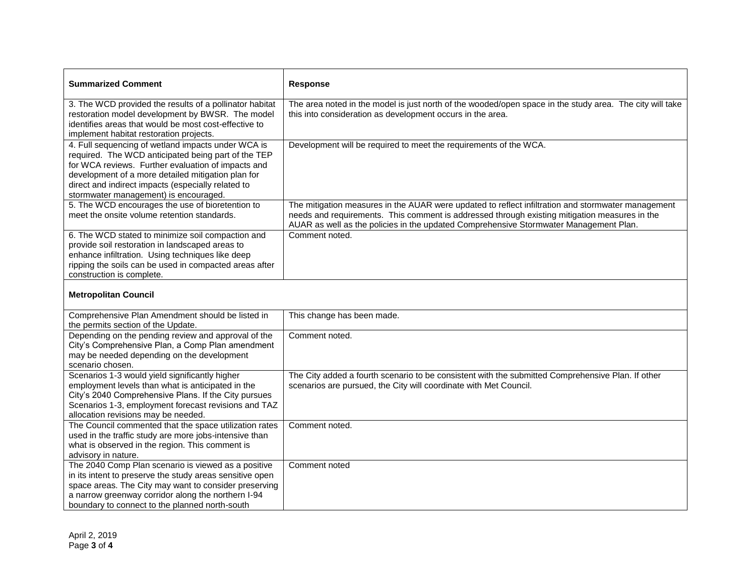| <b>Summarized Comment</b>                                                                                                                                                                                                                                                                                            | <b>Response</b>                                                                                                                                                                                                                                                                              |
|----------------------------------------------------------------------------------------------------------------------------------------------------------------------------------------------------------------------------------------------------------------------------------------------------------------------|----------------------------------------------------------------------------------------------------------------------------------------------------------------------------------------------------------------------------------------------------------------------------------------------|
| 3. The WCD provided the results of a pollinator habitat<br>restoration model development by BWSR. The model<br>identifies areas that would be most cost-effective to<br>implement habitat restoration projects.                                                                                                      | The area noted in the model is just north of the wooded/open space in the study area. The city will take<br>this into consideration as development occurs in the area.                                                                                                                       |
| 4. Full sequencing of wetland impacts under WCA is<br>required. The WCD anticipated being part of the TEP<br>for WCA reviews. Further evaluation of impacts and<br>development of a more detailed mitigation plan for<br>direct and indirect impacts (especially related to<br>stormwater management) is encouraged. | Development will be required to meet the requirements of the WCA.                                                                                                                                                                                                                            |
| 5. The WCD encourages the use of bioretention to<br>meet the onsite volume retention standards.                                                                                                                                                                                                                      | The mitigation measures in the AUAR were updated to reflect infiltration and stormwater management<br>needs and requirements. This comment is addressed through existing mitigation measures in the<br>AUAR as well as the policies in the updated Comprehensive Stormwater Management Plan. |
| 6. The WCD stated to minimize soil compaction and<br>provide soil restoration in landscaped areas to<br>enhance infiltration. Using techniques like deep<br>ripping the soils can be used in compacted areas after<br>construction is complete.                                                                      | Comment noted.                                                                                                                                                                                                                                                                               |
| Motropolitan Council                                                                                                                                                                                                                                                                                                 |                                                                                                                                                                                                                                                                                              |

## **Metropolitan Council**

| Comprehensive Plan Amendment should be listed in<br>the permits section of the Update.                                                                                                                                                                                           | This change has been made.                                                                                                                                             |
|----------------------------------------------------------------------------------------------------------------------------------------------------------------------------------------------------------------------------------------------------------------------------------|------------------------------------------------------------------------------------------------------------------------------------------------------------------------|
| Depending on the pending review and approval of the<br>City's Comprehensive Plan, a Comp Plan amendment                                                                                                                                                                          | Comment noted.                                                                                                                                                         |
| may be needed depending on the development<br>scenario chosen.                                                                                                                                                                                                                   |                                                                                                                                                                        |
| Scenarios 1-3 would yield significantly higher<br>employment levels than what is anticipated in the<br>City's 2040 Comprehensive Plans. If the City pursues<br>Scenarios 1-3, employment forecast revisions and TAZ<br>allocation revisions may be needed.                       | The City added a fourth scenario to be consistent with the submitted Comprehensive Plan. If other<br>scenarios are pursued, the City will coordinate with Met Council. |
| The Council commented that the space utilization rates<br>used in the traffic study are more jobs-intensive than<br>what is observed in the region. This comment is<br>advisory in nature.                                                                                       | Comment noted.                                                                                                                                                         |
| The 2040 Comp Plan scenario is viewed as a positive<br>in its intent to preserve the study areas sensitive open<br>space areas. The City may want to consider preserving<br>a narrow greenway corridor along the northern I-94<br>boundary to connect to the planned north-south | Comment noted                                                                                                                                                          |